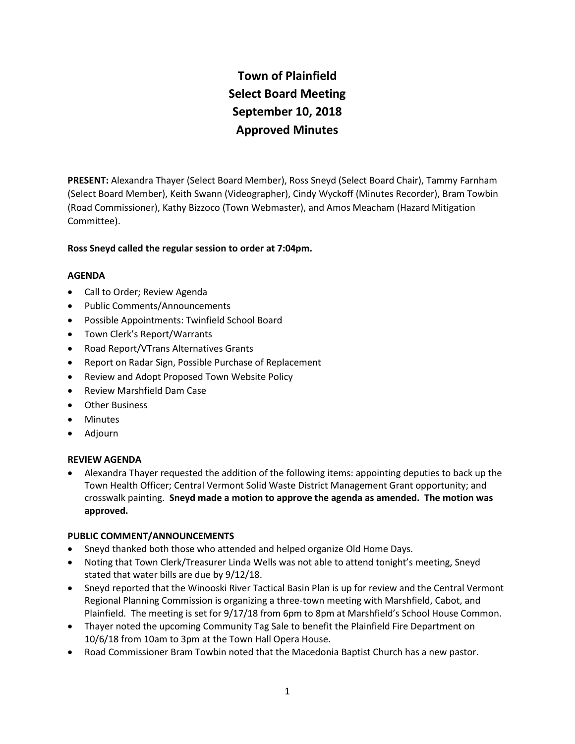# **Town of Plainfield Select Board Meeting September 10, 2018 Approved Minutes**

**PRESENT:** Alexandra Thayer (Select Board Member), Ross Sneyd (Select Board Chair), Tammy Farnham (Select Board Member), Keith Swann (Videographer), Cindy Wyckoff (Minutes Recorder), Bram Towbin (Road Commissioner), Kathy Bizzoco (Town Webmaster), and Amos Meacham (Hazard Mitigation Committee).

# **Ross Sneyd called the regular session to order at 7:04pm.**

## **AGENDA**

- Call to Order; Review Agenda
- Public Comments/Announcements
- Possible Appointments: Twinfield School Board
- Town Clerk's Report/Warrants
- Road Report/VTrans Alternatives Grants
- Report on Radar Sign, Possible Purchase of Replacement
- Review and Adopt Proposed Town Website Policy
- Review Marshfield Dam Case
- Other Business
- Minutes
- Adjourn

## **REVIEW AGENDA**

 Alexandra Thayer requested the addition of the following items: appointing deputies to back up the Town Health Officer; Central Vermont Solid Waste District Management Grant opportunity; and crosswalk painting. **Sneyd made a motion to approve the agenda as amended. The motion was approved.** 

## **PUBLIC COMMENT/ANNOUNCEMENTS**

- Sneyd thanked both those who attended and helped organize Old Home Days.
- Noting that Town Clerk/Treasurer Linda Wells was not able to attend tonight's meeting, Sneyd stated that water bills are due by 9/12/18.
- Sneyd reported that the Winooski River Tactical Basin Plan is up for review and the Central Vermont Regional Planning Commission is organizing a three-town meeting with Marshfield, Cabot, and Plainfield. The meeting is set for 9/17/18 from 6pm to 8pm at Marshfield's School House Common.
- Thayer noted the upcoming Community Tag Sale to benefit the Plainfield Fire Department on 10/6/18 from 10am to 3pm at the Town Hall Opera House.
- Road Commissioner Bram Towbin noted that the Macedonia Baptist Church has a new pastor.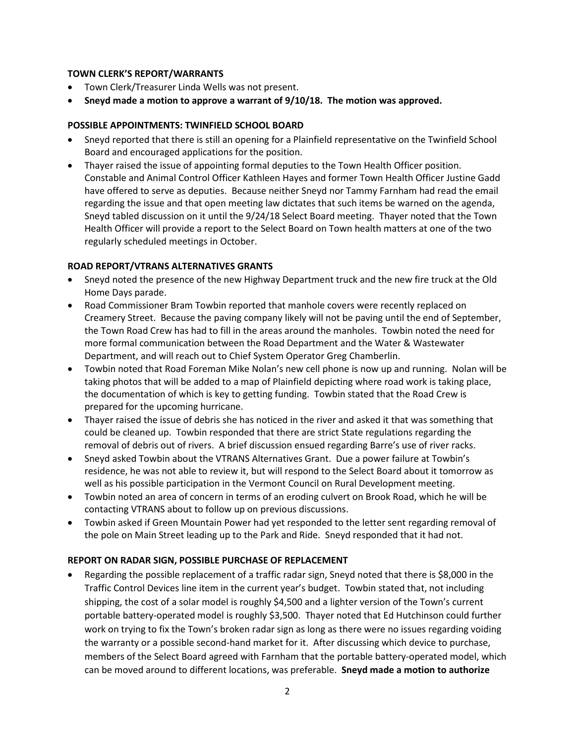## **TOWN CLERK'S REPORT/WARRANTS**

- Town Clerk/Treasurer Linda Wells was not present.
- **Sneyd made a motion to approve a warrant of 9/10/18. The motion was approved.**

# **POSSIBLE APPOINTMENTS: TWINFIELD SCHOOL BOARD**

- Sneyd reported that there is still an opening for a Plainfield representative on the Twinfield School Board and encouraged applications for the position.
- Thayer raised the issue of appointing formal deputies to the Town Health Officer position. Constable and Animal Control Officer Kathleen Hayes and former Town Health Officer Justine Gadd have offered to serve as deputies. Because neither Sneyd nor Tammy Farnham had read the email regarding the issue and that open meeting law dictates that such items be warned on the agenda, Sneyd tabled discussion on it until the 9/24/18 Select Board meeting. Thayer noted that the Town Health Officer will provide a report to the Select Board on Town health matters at one of the two regularly scheduled meetings in October.

# **ROAD REPORT/VTRANS ALTERNATIVES GRANTS**

- Sneyd noted the presence of the new Highway Department truck and the new fire truck at the Old Home Days parade.
- Road Commissioner Bram Towbin reported that manhole covers were recently replaced on Creamery Street. Because the paving company likely will not be paving until the end of September, the Town Road Crew has had to fill in the areas around the manholes. Towbin noted the need for more formal communication between the Road Department and the Water & Wastewater Department, and will reach out to Chief System Operator Greg Chamberlin.
- Towbin noted that Road Foreman Mike Nolan's new cell phone is now up and running. Nolan will be taking photos that will be added to a map of Plainfield depicting where road work is taking place, the documentation of which is key to getting funding. Towbin stated that the Road Crew is prepared for the upcoming hurricane.
- Thayer raised the issue of debris she has noticed in the river and asked it that was something that could be cleaned up. Towbin responded that there are strict State regulations regarding the removal of debris out of rivers. A brief discussion ensued regarding Barre's use of river racks.
- Sneyd asked Towbin about the VTRANS Alternatives Grant. Due a power failure at Towbin's residence, he was not able to review it, but will respond to the Select Board about it tomorrow as well as his possible participation in the Vermont Council on Rural Development meeting.
- Towbin noted an area of concern in terms of an eroding culvert on Brook Road, which he will be contacting VTRANS about to follow up on previous discussions.
- Towbin asked if Green Mountain Power had yet responded to the letter sent regarding removal of the pole on Main Street leading up to the Park and Ride. Sneyd responded that it had not.

# **REPORT ON RADAR SIGN, POSSIBLE PURCHASE OF REPLACEMENT**

 Regarding the possible replacement of a traffic radar sign, Sneyd noted that there is \$8,000 in the Traffic Control Devices line item in the current year's budget. Towbin stated that, not including shipping, the cost of a solar model is roughly \$4,500 and a lighter version of the Town's current portable battery-operated model is roughly \$3,500. Thayer noted that Ed Hutchinson could further work on trying to fix the Town's broken radar sign as long as there were no issues regarding voiding the warranty or a possible second-hand market for it. After discussing which device to purchase, members of the Select Board agreed with Farnham that the portable battery-operated model, which can be moved around to different locations, was preferable. **Sneyd made a motion to authorize**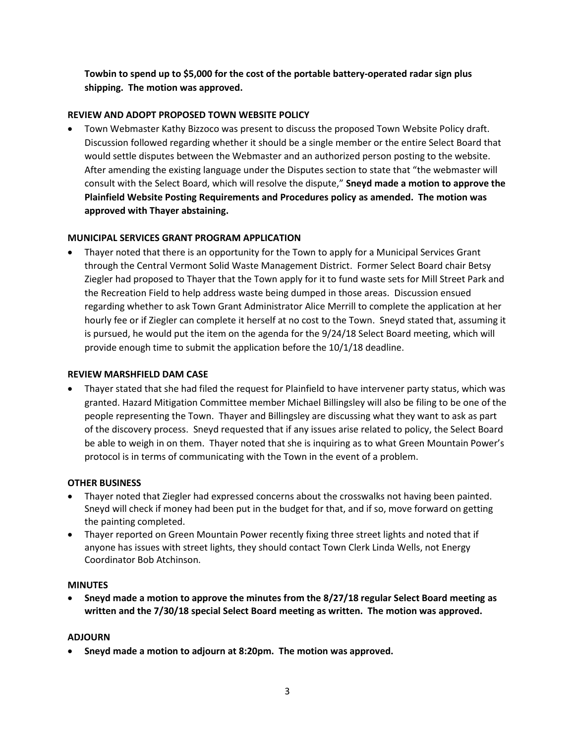**Towbin to spend up to \$5,000 for the cost of the portable battery-operated radar sign plus shipping. The motion was approved.**

# **REVIEW AND ADOPT PROPOSED TOWN WEBSITE POLICY**

 Town Webmaster Kathy Bizzoco was present to discuss the proposed Town Website Policy draft. Discussion followed regarding whether it should be a single member or the entire Select Board that would settle disputes between the Webmaster and an authorized person posting to the website. After amending the existing language under the Disputes section to state that "the webmaster will consult with the Select Board, which will resolve the dispute," **Sneyd made a motion to approve the Plainfield Website Posting Requirements and Procedures policy as amended. The motion was approved with Thayer abstaining.** 

# **MUNICIPAL SERVICES GRANT PROGRAM APPLICATION**

 Thayer noted that there is an opportunity for the Town to apply for a Municipal Services Grant through the Central Vermont Solid Waste Management District. Former Select Board chair Betsy Ziegler had proposed to Thayer that the Town apply for it to fund waste sets for Mill Street Park and the Recreation Field to help address waste being dumped in those areas. Discussion ensued regarding whether to ask Town Grant Administrator Alice Merrill to complete the application at her hourly fee or if Ziegler can complete it herself at no cost to the Town. Sneyd stated that, assuming it is pursued, he would put the item on the agenda for the 9/24/18 Select Board meeting, which will provide enough time to submit the application before the 10/1/18 deadline.

## **REVIEW MARSHFIELD DAM CASE**

 Thayer stated that she had filed the request for Plainfield to have intervener party status, which was granted. Hazard Mitigation Committee member Michael Billingsley will also be filing to be one of the people representing the Town. Thayer and Billingsley are discussing what they want to ask as part of the discovery process. Sneyd requested that if any issues arise related to policy, the Select Board be able to weigh in on them. Thayer noted that she is inquiring as to what Green Mountain Power's protocol is in terms of communicating with the Town in the event of a problem.

## **OTHER BUSINESS**

- Thayer noted that Ziegler had expressed concerns about the crosswalks not having been painted. Sneyd will check if money had been put in the budget for that, and if so, move forward on getting the painting completed.
- Thayer reported on Green Mountain Power recently fixing three street lights and noted that if anyone has issues with street lights, they should contact Town Clerk Linda Wells, not Energy Coordinator Bob Atchinson.

## **MINUTES**

 **Sneyd made a motion to approve the minutes from the 8/27/18 regular Select Board meeting as written and the 7/30/18 special Select Board meeting as written. The motion was approved.**

## **ADJOURN**

**Sneyd made a motion to adjourn at 8:20pm. The motion was approved.**